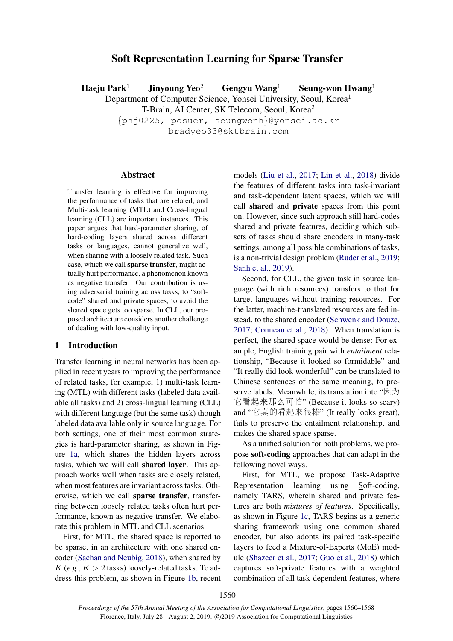# Soft Representation Learning for Sparse Transfer

Haeju Park<sup>1</sup> Jinyoung Yeo<sup>2</sup> Gengyu Wang<sup>1</sup> Seung-won Hwang<sup>1</sup>

Department of Computer Science, Yonsei University, Seoul, Korea<sup>1</sup>

T-Brain, AI Center, SK Telecom, Seoul, Korea<sup>2</sup>

{phj0225, posuer, seungwonh}@yonsei.ac.kr bradyeo33@sktbrain.com

#### Abstract

Transfer learning is effective for improving the performance of tasks that are related, and Multi-task learning (MTL) and Cross-lingual learning (CLL) are important instances. This paper argues that hard-parameter sharing, of hard-coding layers shared across different tasks or languages, cannot generalize well, when sharing with a loosely related task. Such case, which we call sparse transfer, might actually hurt performance, a phenomenon known as negative transfer. Our contribution is using adversarial training across tasks, to "softcode" shared and private spaces, to avoid the shared space gets too sparse. In CLL, our proposed architecture considers another challenge of dealing with low-quality input.

#### <span id="page-0-0"></span>1 Introduction

Transfer learning in neural networks has been applied in recent years to improving the performance of related tasks, for example, 1) multi-task learning (MTL) with different tasks (labeled data available all tasks) and 2) cross-lingual learning (CLL) with different language (but the same task) though labeled data available only in source language. For both settings, one of their most common strategies is hard-parameter sharing, as shown in Figure [1a,](#page-1-0) which shares the hidden layers across tasks, which we will call shared layer. This approach works well when tasks are closely related, when most features are invariant across tasks. Otherwise, which we call sparse transfer, transferring between loosely related tasks often hurt performance, known as negative transfer. We elaborate this problem in MTL and CLL scenarios.

First, for MTL, the shared space is reported to be sparse, in an architecture with one shared encoder [\(Sachan and Neubig,](#page-8-0) [2018\)](#page-8-0), when shared by  $K$  (*e.g.*,  $K > 2$  tasks) loosely-related tasks. To address this problem, as shown in Figure [1b,](#page-1-0) recent models [\(Liu et al.,](#page-8-1) [2017;](#page-8-1) [Lin et al.,](#page-8-2) [2018\)](#page-8-2) divide the features of different tasks into task-invariant and task-dependent latent spaces, which we will call shared and private spaces from this point on. However, since such approach still hard-codes shared and private features, deciding which subsets of tasks should share encoders in many-task settings, among all possible combinations of tasks, is a non-trivial design problem [\(Ruder et al.,](#page-8-3) [2019;](#page-8-3) [Sanh et al.,](#page-8-4) [2019\)](#page-8-4).

Second, for CLL, the given task in source language (with rich resources) transfers to that for target languages without training resources. For the latter, machine-translated resources are fed instead, to the shared encoder [\(Schwenk and Douze,](#page-8-5) [2017;](#page-8-5) [Conneau et al.,](#page-8-6) [2018\)](#page-8-6). When translation is perfect, the shared space would be dense: For example, English training pair with *entailment* relationship, "Because it looked so formidable" and "It really did look wonderful" can be translated to Chinese sentences of the same meaning, to preserve labels. Meanwhile, its translation into "因为 它看起来那么可怕" (Because it looks so scary) and "它真的看起来很棒" (It really looks great), fails to preserve the entailment relationship, and makes the shared space sparse.

As a unified solution for both problems, we propose soft-coding approaches that can adapt in the following novel ways.

First, for MTL, we propose Task-Adaptive Representation learning using Soft-coding, namely TARS, wherein shared and private features are both *mixtures of features*. Specifically, as shown in Figure [1c,](#page-1-0) TARS begins as a generic sharing framework using one common shared encoder, but also adopts its paired task-specific layers to feed a Mixture-of-Experts (MoE) module [\(Shazeer et al.,](#page-8-7) [2017;](#page-8-7) [Guo et al.,](#page-8-8) [2018\)](#page-8-8) which captures soft-private features with a weighted combination of all task-dependent features, where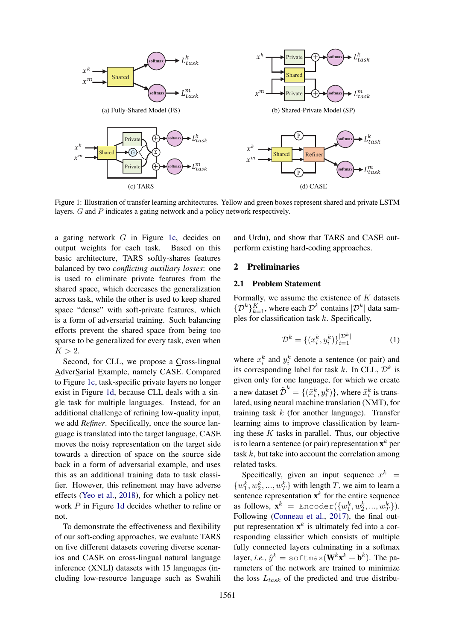<span id="page-1-0"></span>

Figure 1: Illustration of transfer learning architectures. Yellow and green boxes represent shared and private LSTM layers. G and P indicates a gating network and a policy network respectively.

a gating network G in Figure [1c,](#page-1-0) decides on output weights for each task. Based on this basic architecture, TARS softly-shares features balanced by two *conflicting auxiliary losses*: one is used to eliminate private features from the shared space, which decreases the generalization across task, while the other is used to keep shared space "dense" with soft-private features, which is a form of adversarial training. Such balancing efforts prevent the shared space from being too sparse to be generalized for every task, even when  $K > 2$ .

Second, for CLL, we propose a Cross-lingual AdverSarial Example, namely CASE. Compared to Figure [1c,](#page-1-0) task-specific private layers no longer exist in Figure [1d,](#page-1-0) because CLL deals with a single task for multiple languages. Instead, for an additional challenge of refining low-quality input, we add *Refiner*. Specifically, once the source language is translated into the target language, CASE moves the noisy representation on the target side towards a direction of space on the source side back in a form of adversarial example, and uses this as an additional training data to task classifier. However, this refinement may have adverse effects [\(Yeo et al.,](#page-8-9) [2018\)](#page-8-9), for which a policy network P in Figure [1d](#page-1-0) decides whether to refine or not.

To demonstrate the effectiveness and flexibility of our soft-coding approaches, we evaluate TARS on five different datasets covering diverse scenarios and CASE on cross-lingual natural language inference (XNLI) datasets with 15 languages (including low-resource language such as Swahili

and Urdu), and show that TARS and CASE outperform existing hard-coding approaches.

#### 2 Preliminaries

#### 2.1 Problem Statement

Formally, we assume the existence of  $K$  datasets  $\{\mathcal{D}^k\}_{k=1}^K$ , where each  $\mathcal{D}^k$  contains  $|\mathcal{D}^k|$  data samples for classification task  $k$ . Specifically,

$$
\mathcal{D}^{k} = \{(x_{i}^{k}, y_{i}^{k})\}_{i=1}^{|\mathcal{D}^{k}|}
$$
 (1)

where  $x_i^k$  and  $y_i^k$  denote a sentence (or pair) and its corresponding label for task k. In CLL,  $\mathcal{D}^k$  is given only for one language, for which we create a new dataset  $\tilde{\mathcal{D}}^k = \{(\tilde{x}_i^k, y_i^k)\}\$ , where  $\tilde{x}_i^k$  is translated, using neural machine translation (NMT), for training task  $k$  (for another language). Transfer learning aims to improve classification by learning these  $K$  tasks in parallel. Thus, our objective is to learn a sentence (or pair) representation  $\mathbf{x}^k$  per task  $k$ , but take into account the correlation among related tasks.

Specifically, given an input sequence  $x^k$  =  $\{w_1^k, w_2^k, ..., w_T^k\}$  with length T, we aim to learn a sentence representation  $x^k$  for the entire sequence as follows,  $\mathbf{x}^k$  = Encoder( $\{w_1^k, w_2^k, ..., w_T^k\}$ ). Following [\(Conneau et al.,](#page-8-10) [2017\)](#page-8-10), the final output representation  $x^k$  is ultimately fed into a corresponding classifier which consists of multiple fully connected layers culminating in a softmax layer, *i.e.*,  $\hat{y}^k = \text{softmax}(\mathbf{W}^k \mathbf{x}^k + \mathbf{b}^k)$ . The parameters of the network are trained to minimize the loss  $L_{task}$  of the predicted and true distribu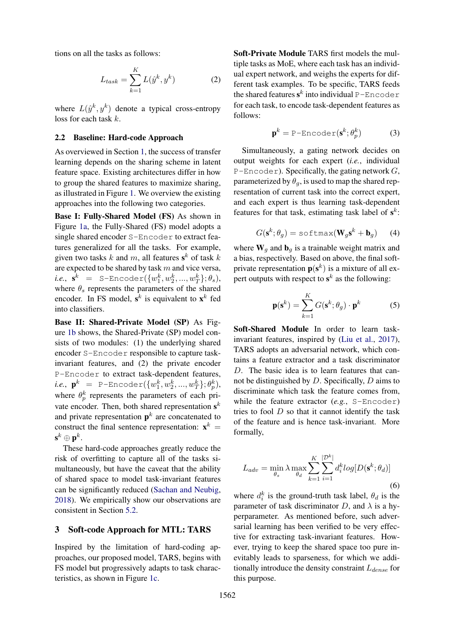tions on all the tasks as follows:

$$
L_{task} = \sum_{k=1}^{K} L(\hat{y}^k, y^k)
$$
 (2)

where  $L(\hat{y}^k, y^k)$  denote a typical cross-entropy loss for each task k.

#### 2.2 Baseline: Hard-code Approach

As overviewed in Section [1,](#page-0-0) the success of transfer learning depends on the sharing scheme in latent feature space. Existing architectures differ in how to group the shared features to maximize sharing, as illustrated in Figure [1.](#page-1-0) We overview the existing approaches into the following two categories.

Base I: Fully-Shared Model (FS) As shown in Figure [1a,](#page-1-0) the Fully-Shared (FS) model adopts a single shared encoder S-Encoder to extract features generalized for all the tasks. For example, given two tasks k and m, all features  $s^k$  of task k are expected to be shared by task m and vice versa, *i.e.*,  $\mathbf{s}^k$  = S-Encoder( $\{w_1^k, w_2^k, ..., w_T^k\}; \theta_s$ ), where  $\theta_s$  represents the parameters of the shared encoder. In FS model,  $s^k$  is equivalent to  $x^k$  fed into classifiers.

Base II: Shared-Private Model (SP) As Figure [1b](#page-1-0) shows, the Shared-Private (SP) model consists of two modules: (1) the underlying shared encoder S-Encoder responsible to capture taskinvariant features, and (2) the private encoder P-Encoder to extract task-dependent features, *i.e.*,  $\mathbf{p}^k$  = P-Encoder( $\{w_1^k, w_2^k, ..., w_T^k\}; \theta_p^k$ ), where  $\theta_p^k$  represents the parameters of each private encoder. Then, both shared representation  $s<sup>k</sup>$ and private representation  $p<sup>k</sup>$  are concatenated to construct the final sentence representation:  $\mathbf{x}^k =$  $\mathbf{s}^k \oplus \mathbf{p}^k.$ 

These hard-code approaches greatly reduce the risk of overfitting to capture all of the tasks simultaneously, but have the caveat that the ability of shared space to model task-invariant features can be significantly reduced [\(Sachan and Neubig,](#page-8-0) [2018\)](#page-8-0). We empirically show our observations are consistent in Section [5.2.](#page-4-0)

#### 3 Soft-code Approach for MTL: TARS

Inspired by the limitation of hard-coding approaches, our proposed model, TARS, begins with FS model but progressively adapts to task characteristics, as shown in Figure [1c.](#page-1-0)

Soft-Private Module TARS first models the multiple tasks as MoE, where each task has an individual expert network, and weighs the experts for different task examples. To be specific, TARS feeds the shared features  $s^k$  into individual P-Encoder for each task, to encode task-dependent features as follows:

$$
\mathbf{p}^k = \text{P-Encoder}(\mathbf{s}^k; \theta_p^k)
$$
 (3)

Simultaneously, a gating network decides on output weights for each expert (*i.e.*, individual P-Encoder). Specifically, the gating network  $G$ , parameterized by  $\theta_a$ , is used to map the shared representation of current task into the correct expert, and each expert is thus learning task-dependent features for that task, estimating task label of  $s^k$ :

<span id="page-2-0"></span>
$$
G(\mathbf{s}^k; \theta_g) = \text{softmax}(\mathbf{W}_g \mathbf{s}^k + \mathbf{b}_g)
$$
 (4)

<span id="page-2-1"></span>where  $W_g$  and  $\mathbf{b}_g$  is a trainable weight matrix and a bias, respectively. Based on above, the final softprivate representation  $p(s^k)$  is a mixture of all expert outputs with respect to  $s^k$  as the following:

$$
\mathbf{p}(\mathbf{s}^k) = \sum_{k=1}^K G(\mathbf{s}^k; \theta_g) \cdot \mathbf{p}^k \tag{5}
$$

Soft-Shared Module In order to learn taskinvariant features, inspired by [\(Liu et al.,](#page-8-1) [2017\)](#page-8-1), TARS adopts an adversarial network, which contains a feature extractor and a task discriminator D. The basic idea is to learn features that cannot be distinguished by  $D$ . Specifically,  $D$  aims to discriminate which task the feature comes from, while the feature extractor (*e.g.*, S-Encoder) tries to fool  $D$  so that it cannot identify the task of the feature and is hence task-invariant. More formally,

$$
L_{adv} = \min_{\theta_s} \lambda \max_{\theta_d} \sum_{k=1}^K \sum_{i=1}^{\lvert \mathcal{D}^k \rvert} d_i^k log[D(\mathbf{s}^k; \theta_d)] \tag{6}
$$

where  $d_i^k$  is the ground-truth task label,  $\theta_d$  is the parameter of task discriminator D, and  $\lambda$  is a hyperparameter. As mentioned before, such adversarial learning has been verified to be very effective for extracting task-invariant features. However, trying to keep the shared space too pure inevitably leads to sparseness, for which we additionally introduce the density constraint  $L_{dense}$  for this purpose.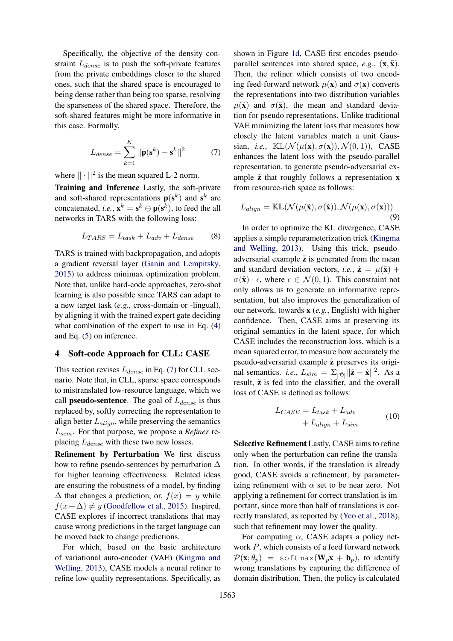Specifically, the objective of the density constraint  $L_{dense}$  is to push the soft-private features from the private embeddings closer to the shared ones, such that the shared space is encouraged to being dense rather than being too sparse, resolving the sparseness of the shared space. Therefore, the soft-shared features might be more informative in this case. Formally,

<span id="page-3-0"></span>
$$
L_{dense} = \sum_{k=1}^{K} ||\mathbf{p}(\mathbf{s}^k) - \mathbf{s}^k||^2 \tag{7}
$$

where  $|| \cdot ||^2$  is the mean squared L-2 norm.

Training and Inference Lastly, the soft-private and soft-shared representations  $p(s^k)$  and  $s^k$  are concatenated, *i.e.*,  $\mathbf{x}^k = \mathbf{s}^k \oplus \mathbf{p}(\mathbf{s}^k)$ , to feed the all networks in TARS with the following loss:

$$
L_{TARS} = L_{task} + L_{adv} + L_{dense} \tag{8}
$$

TARS is trained with backpropagation, and adopts a gradient reversal layer [\(Ganin and Lempitsky,](#page-8-11) [2015\)](#page-8-11) to address minimax optimization problem. Note that, unlike hard-code approaches, zero-shot learning is also possible since TARS can adapt to a new target task (*e.g.*, cross-domain or -lingual), by aligning it with the trained expert gate deciding what combination of the expert to use in Eq. [\(4\)](#page-2-0) and Eq. [\(5\)](#page-2-1) on inference.

## 4 Soft-code Approach for CLL: CASE

This section revises  $L_{dense}$  in Eq. [\(7\)](#page-3-0) for CLL scenario. Note that, in CLL, sparse space corresponds to mistranslated low-resource language, which we call **pseudo-sentence**. The goal of  $L_{dense}$  is thus replaced by, softly correcting the representation to align better  $L_{align}$ , while preserving the semantics Lsem. For that purpose, we propose a *Refiner* replacing  $L_{dense}$  with these two new losses.

Refinement by Perturbation We first discuss how to refine pseudo-sentences by perturbation  $\Delta$ for higher learning effectiveness. Related ideas are ensuring the robustness of a model, by finding  $\Delta$  that changes a prediction, or,  $f(x) = y$  while  $f(x+\Delta) \neq y$  [\(Goodfellow et al.,](#page-8-12) [2015\)](#page-8-12). Inspired, CASE explores if incorrect translations that may cause wrong predictions in the target language can be moved back to change predictions.

For which, based on the basic architecture of variational auto-encoder (VAE) [\(Kingma and](#page-8-13) [Welling,](#page-8-13) [2013\)](#page-8-13), CASE models a neural refiner to refine low-quality representations. Specifically, as

shown in Figure [1d,](#page-1-0) CASE first encodes pseudoparallel sentences into shared space,  $e, g, (\mathbf{x}, \tilde{\mathbf{x}})$ . Then, the refiner which consists of two encoding feed-forward network  $\mu(\mathbf{x})$  and  $\sigma(\mathbf{x})$  converts the representations into two distribution variables  $\mu(\tilde{\mathbf{x}})$  and  $\sigma(\tilde{\mathbf{x}})$ , the mean and standard deviation for pseudo representations. Unlike traditional VAE minimizing the latent loss that measures how closely the latent variables match a unit Gaussian, *i.e.*,  $\mathbb{KL}(\mathcal{N}(\mu(\mathbf{x}), \sigma(\mathbf{x})), \mathcal{N}(0, 1))$ , CASE enhances the latent loss with the pseudo-parallel representation, to generate pseudo-adversarial example  $\tilde{z}$  that roughly follows a representation  $x$ from resource-rich space as follows:

$$
L_{align} = \mathbb{KL}(\mathcal{N}(\mu(\tilde{\mathbf{x}}), \sigma(\tilde{\mathbf{x}})), \mathcal{N}(\mu(\mathbf{x}), \sigma(\mathbf{x})))
$$
\n(9)

In order to optimize the KL divergence, CASE applies a simple reparameterization trick [\(Kingma](#page-8-13) [and Welling,](#page-8-13) [2013\)](#page-8-13). Using this trick, pseudoadversarial example  $\tilde{z}$  is generated from the mean and standard deviation vectors, *i.e.*,  $\tilde{z} = \mu(\tilde{x}) + \mu(z)$  $\sigma(\tilde{\mathbf{x}}) \cdot \epsilon$ , where  $\epsilon \in \mathcal{N}(0, 1)$ . This constraint not only allows us to generate an informative representation, but also improves the generalization of our network, towards x (*e.g.*, English) with higher confidence. Then, CASE aims at preserving its original semantics in the latent space, for which CASE includes the reconstruction loss, which is a mean squared error, to measure how accurately the pseudo-adversarial example  $\tilde{z}$  preserves its original semantics. *i.e.*,  $L_{sim} = \sum_{|\tilde{\mathcal{D}}|} ||\tilde{\mathbf{z}} - \tilde{\mathbf{x}}||^2$ . As a result,  $\tilde{z}$  is fed into the classifier, and the overall loss of CASE is defined as follows:

$$
L_{CASE} = L_{task} + L_{adv}
$$
  
+ 
$$
L_{align} + L_{sim}
$$
 (10)

Selective Refinement Lastly, CASE aims to refine only when the perturbation can refine the translation. In other words, if the translation is already good, CASE avoids a refinement, by parameterizing refinement with  $\alpha$  set to be near zero. Not applying a refinement for correct translation is important, since more than half of translations is correctly translated, as reported by [\(Yeo et al.,](#page-8-9) [2018\)](#page-8-9), such that refinement may lower the quality.

For computing  $\alpha$ , CASE adapts a policy network P, which consists of a feed forward network  $\mathcal{P}(\mathbf{x}; \theta_p)$  = softmax( $\mathbf{W}_p \mathbf{x} + \mathbf{b}_p$ ), to identify wrong translations by capturing the difference of domain distribution. Then, the policy is calculated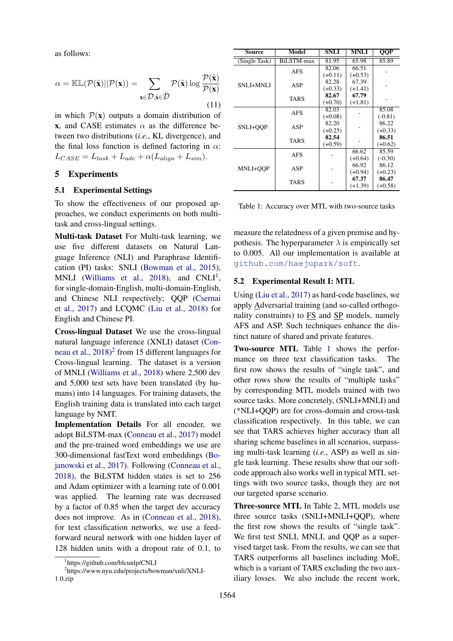as follows:

$$
\alpha = \mathbb{KL}(\mathcal{P}(\tilde{\mathbf{x}})||\mathcal{P}(\mathbf{x})) = \sum_{\mathbf{x} \in \mathcal{D}, \tilde{\mathbf{x}} \in \tilde{\mathcal{D}}} \mathcal{P}(\tilde{\mathbf{x}}) \log \frac{\mathcal{P}(\tilde{\mathbf{x}})}{\mathcal{P}(\mathbf{x})}
$$
(11)

in which  $P(x)$  outputs a domain distribution of x, and CASE estimates  $\alpha$  as the difference between two distributions (*i.e.*, KL divergence), and the final loss function is defined factoring in  $\alpha$ :  $L_{CASE} = L_{task} + L_{adv} + \alpha (L_{alian} + L_{sim}).$ 

# 5 Experiments

#### 5.1 Experimental Settings

To show the effectiveness of our proposed approaches, we conduct experiments on both multitask and cross-lingual settings.

Multi-task Dataset For Multi-task learning, we use five different datasets on Natural Language Inference (NLI) and Paraphrase Identification (PI) tasks: SNLI [\(Bowman et al.,](#page-8-14) [2015\)](#page-8-14), MNLI [\(Williams et al.,](#page-8-15) [2018\)](#page-8-15), and  $CNLI<sup>1</sup>$  $CNLI<sup>1</sup>$  $CNLI<sup>1</sup>$ , for single-domain-English, multi-domain-English, and Chinese NLI respectively; QQP [\(Csernai](#page-8-16) [et al.,](#page-8-16) [2017\)](#page-8-16) and LCQMC [\(Liu et al.,](#page-8-17) [2018\)](#page-8-17) for English and Chinese PI.

Cross-lingual Dataset We use the cross-lingual natural language inference (XNLI) dataset [\(Con](#page-8-6)[neau et al.,](#page-8-6) [2018\)](#page-8-6) [2](#page-4-2) from 15 different languages for Cross-lingual learning. The dataset is a version of MNLI [\(Williams et al.,](#page-8-15) [2018\)](#page-8-15) where 2,500 dev and 5,000 test sets have been translated (by humans) into 14 languages. For training datasets, the English training data is translated into each target language by NMT.

Implementation Details For all encoder, we adopt BiLSTM-max [\(Conneau et al.,](#page-8-10) [2017\)](#page-8-10) model and the pre-trained word embeddings we use are 300-dimensional fastText word embeddings [\(Bo](#page-8-18)[janowski et al.,](#page-8-18) [2017\)](#page-8-18). Following [\(Conneau et al.,](#page-8-6) [2018\)](#page-8-6), the BiLSTM hidden states is set to 256 and Adam optimizer with a learning rate of 0.001 was applied. The learning rate was decreased by a factor of 0.85 when the target dev accuracy does not improve. As in [\(Conneau et al.,](#page-8-6) [2018\)](#page-8-6), for text classification networks, we use a feedforward neural network with one hidden layer of 128 hidden units with a dropout rate of 0.1, to

<span id="page-4-3"></span>

| Source        | Model       | <b>SNLI</b> | <b>MNLI</b> | <b>QQP</b>                                                                                                 |  |  |  |
|---------------|-------------|-------------|-------------|------------------------------------------------------------------------------------------------------------|--|--|--|
| (Single Task) | BiLSTM-max  | 81.95       | 65.98       | 85.89                                                                                                      |  |  |  |
| SNLI+MNLI     | AFS         | 82.06       | 66.51       |                                                                                                            |  |  |  |
|               |             | $(+0.11)$   | $(+0.53)$   |                                                                                                            |  |  |  |
|               | ASP         | 82.28       | 67.39       |                                                                                                            |  |  |  |
|               |             | $(+0.33)$   | $(+1.41)$   |                                                                                                            |  |  |  |
|               | <b>TARS</b> | 82.67       | 67.79       |                                                                                                            |  |  |  |
|               |             | $(+0.70)$   | $(+1.81)$   |                                                                                                            |  |  |  |
| SNLI+QQP      | <b>AFS</b>  | 82.03       |             | 85.08                                                                                                      |  |  |  |
|               |             | $(+0.08)$   |             |                                                                                                            |  |  |  |
|               | ASP         | 82.20       |             |                                                                                                            |  |  |  |
|               |             | $(+0.25)$   |             |                                                                                                            |  |  |  |
|               | <b>TARS</b> | 82.54       |             |                                                                                                            |  |  |  |
|               |             | $(+0.59)$   |             |                                                                                                            |  |  |  |
| MNLI+QQP      | <b>AFS</b>  | 66.62       |             |                                                                                                            |  |  |  |
|               |             |             | $(+0.64)$   |                                                                                                            |  |  |  |
|               | ASP         |             | 66.92       | $(-0.81)$<br>86.22<br>$(+0.33)$<br>86.51<br>$(+0.62)$<br>85.59<br>$(-0.30)$<br>86.12<br>$(+0.23)$<br>86.47 |  |  |  |
|               |             |             | $(+0.94)$   |                                                                                                            |  |  |  |
|               | <b>TARS</b> |             | 67.37       |                                                                                                            |  |  |  |
|               |             |             | $(+1.39)$   | $(+0.58)$                                                                                                  |  |  |  |

Table 1: Accuracy over MTL with two-source tasks

measure the relatedness of a given premise and hypothesis. The hyperparameter  $\lambda$  is empirically set to 0.005. All our implementation is available at <github.com/haejupark/soft>.

## <span id="page-4-0"></span>5.2 Experimental Result I: MTL

Using [\(Liu et al.,](#page-8-1) [2017\)](#page-8-1) as hard-code baselines, we apply Adversarial training (and so-called orthogonality constraints) to FS and SP models, namely AFS and ASP. Such techniques enhance the distinct nature of shared and private features.

Two-source MTL Table [1](#page-4-3) shows the performance on three text classification tasks. The first row shows the results of "single task", and other rows show the results of "multiple tasks" by corresponding MTL models trained with two source tasks. More concretely, (SNLI+MNLI) and (\*NLI+QQP) are for cross-domain and cross-task classification respectively. In this table, we can see that TARS achieves higher accuracy than all sharing scheme baselines in all scenarios, surpassing multi-task learning (*i.e.*, ASP) as well as single task learning. These results show that our softcode approach also works well in typical MTL settings with two source tasks, though they are not our targeted sparse scenario.

Three-source MTL In Table [2,](#page-5-0) MTL models use three source tasks (SNLI+MNLI+QQP), where the first row shows the results of "single task". We first test SNLI, MNLI, and QQP as a supervised target task. From the results, we can see that TARS outperforms all baselines including MoE, which is a variant of TARS excluding the two auxiliary losses. We also include the recent work,

<span id="page-4-2"></span><span id="page-4-1"></span><sup>1</sup> https://github.com/blcunlp/CNLI

<sup>2</sup> https://www.nyu.edu/projects/bowman/xnli/XNLI-1.0.zip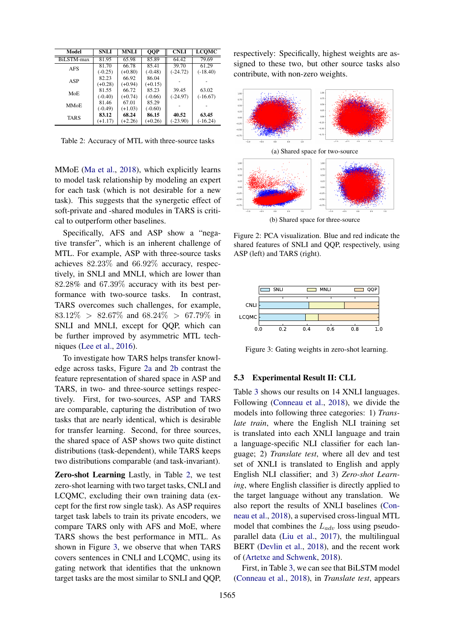<span id="page-5-0"></span>

| Model      | <b>SNLI</b> | MNLI      | QQP       | <b>CNLI</b> | LCOMC      |
|------------|-------------|-----------|-----------|-------------|------------|
| BiLSTM-max | 81.95       | 65.98     | 85.89     | 64.42       | 79.69      |
| AFS        | 81.70       | 66.78     | 85.41     | 39.70       | 61.29      |
|            | $(-0.25)$   | $(+0.80)$ | $(-0.48)$ | $(-24.72)$  | $(-18.40)$ |
| ASP        | 82.23       | 66.92     | 86.04     |             |            |
|            | $(+0.28)$   | $(+0.94)$ | $(+0.15)$ |             |            |
| MoE        | 81.55       | 66.72     | 85.23     | 39.45       | 63.02      |
|            | $(-0.40)$   | $(+0.74)$ | $(-0.66)$ | $(-24.97)$  | $(-16.67)$ |
| MMoE       | 81.46       | 67.01     | 85.29     |             |            |
|            | $(-0.49)$   | $(+1.03)$ | $(-0.60)$ |             |            |
| TARS       | 83.12       | 68.24     | 86.15     | 40.52       | 63.45      |
|            | $(+1.17)$   | $(+2.26)$ | $(+0.26)$ | $(-23.90)$  | $(-16.24)$ |

Table 2: Accuracy of MTL with three-source tasks

MMoE [\(Ma et al.,](#page-8-19) [2018\)](#page-8-19), which explicitly learns to model task relationship by modeling an expert for each task (which is not desirable for a new task). This suggests that the synergetic effect of soft-private and -shared modules in TARS is critical to outperform other baselines.

Specifically, AFS and ASP show a "negative transfer", which is an inherent challenge of MTL. For example, ASP with three-source tasks achieves 82.23% and 66.92% accuracy, respectively, in SNLI and MNLI, which are lower than 82.28% and 67.39% accuracy with its best performance with two-source tasks. In contrast, TARS overcomes such challenges, for example,  $83.12\% > 82.67\%$  and  $68.24\% > 67.79\%$  in SNLI and MNLI, except for QQP, which can be further improved by asymmetric MTL techniques [\(Lee et al.,](#page-8-20) [2016\)](#page-8-20).

To investigate how TARS helps transfer knowledge across tasks, Figure [2a](#page-5-1) and [2b](#page-5-1) contrast the feature representation of shared space in ASP and TARS, in two- and three-source settings respectively. First, for two-sources, ASP and TARS are comparable, capturing the distribution of two tasks that are nearly identical, which is desirable for transfer learning. Second, for three sources, the shared space of ASP shows two quite distinct distributions (task-dependent), while TARS keeps two distributions comparable (and task-invariant).

Zero-shot Learning Lastly, in Table [2,](#page-5-0) we test zero-shot learning with two target tasks, CNLI and LCQMC, excluding their own training data (except for the first row single task). As ASP requires target task labels to train its private encoders, we compare TARS only with AFS and MoE, where TARS shows the best performance in MTL. As shown in Figure [3,](#page-5-2) we observe that when TARS covers sentences in CNLI and LCQMC, using its gating network that identifies that the unknown target tasks are the most similar to SNLI and QQP,

respectively: Specifically, highest weights are assigned to these two, but other source tasks also contribute, with non-zero weights.

<span id="page-5-1"></span>

(b) Shared space for three-source

Figure 2: PCA visualization. Blue and red indicate the shared features of SNLI and QQP, respectively, using ASP (left) and TARS (right).

<span id="page-5-2"></span>

Figure 3: Gating weights in zero-shot learning.

#### 5.3 Experimental Result II: CLL

Table [3](#page-6-0) shows our results on 14 XNLI languages. Following [\(Conneau et al.,](#page-8-6) [2018\)](#page-8-6), we divide the models into following three categories: 1) *Translate train*, where the English NLI training set is translated into each XNLI language and train a language-specific NLI classifier for each language; 2) *Translate test*, where all dev and test set of XNLI is translated to English and apply English NLI classifier; and 3) *Zero-shot Learning*, where English classifier is directly applied to the target language without any translation. We also report the results of XNLI baselines [\(Con](#page-8-6)[neau et al.,](#page-8-6) [2018\)](#page-8-6), a supervised cross-lingual MTL model that combines the  $L_{adv}$  loss using pseudoparallel data [\(Liu et al.,](#page-8-1) [2017\)](#page-8-1), the multilingual BERT [\(Devlin et al.,](#page-8-21) [2018\)](#page-8-21), and the recent work of [\(Artetxe and Schwenk,](#page-8-22) [2018\)](#page-8-22).

First, in Table [3,](#page-6-0) we can see that BiLSTM model [\(Conneau et al.,](#page-8-6) [2018\)](#page-8-6), in *Translate test*, appears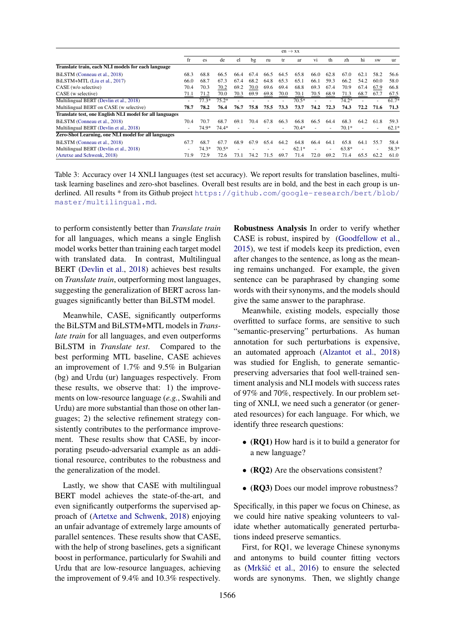<span id="page-6-0"></span>

|                                                         | $en \rightarrow xx$ |         |         |      |      |      |      |         |      |      |         |      |           |         |
|---------------------------------------------------------|---------------------|---------|---------|------|------|------|------|---------|------|------|---------|------|-----------|---------|
|                                                         | fr                  | es      | de      | el   | bg   | ru   | tr   | ar      | V1   | th   | zh      | hi   | <b>SW</b> | ur      |
| Translate train, each NLI models for each language      |                     |         |         |      |      |      |      |         |      |      |         |      |           |         |
| BiLSTM (Conneau et al., 2018)                           | 68.3                | 68.8    | 66.5    | 66.4 | 67.4 | 66.5 | 64.5 | 65.8    | 66.0 | 62.8 | 67.0    | 62.1 | 58.2      | 56.6    |
| BiLSTM+MTL (Liu et al., 2017)                           | 66.0                | 68.7    | 67.3    | 67.4 | 68.2 | 64.8 | 65.3 | 65.1    | 66.1 | 59.3 | 66.2    | 54.2 | 60.0      | 58.0    |
| CASE (w/o selective)                                    | 70.4                | 70.3    | 70.2    | 69.2 | 70.0 | 69.6 | 69.4 | 68.8    | 69.3 | 67.4 | 70.9    | 67.4 | 67.9      | 66.8    |
| CASE (w selective)                                      | 71.1                | 71.2    | 70.0    | 70.3 | 69.9 | 69.8 | 70.0 | 70.1    | 70.5 | 68.9 | 71.3    | 68.7 | 67.7      | 67.5    |
| Multilingual BERT (Devlin et al., 2018)                 |                     | $77.3*$ | $75.2*$ |      |      |      |      | $70.5*$ |      |      | $74.2*$ |      |           | $61.7*$ |
| Multilingual BERT on CASE (w selective)                 | 78.7                | 78.2    | 76.4    | 76.7 | 75.8 | 75.5 | 73.3 | 73.7    | 74.2 | 72.3 | 74.3    | 72.2 | 71.6      | 71.3    |
| Translate test, one English NLI model for all languages |                     |         |         |      |      |      |      |         |      |      |         |      |           |         |
| BiLSTM (Conneau et al., 2018)                           | 70.4                | 70.7    | 68.7    | 69.1 | 70.4 | 67.8 | 66.3 | 66.8    | 66.5 | 64.4 | 68.3    | 64.2 | 61.8      | 59.3    |
| Multilingual BERT (Devlin et al., 2018)                 |                     | 74.9*   | $74.4*$ |      |      |      |      | $70.4*$ |      | ٠    | $70.1*$ |      |           | $62.1*$ |
| Zero-Shot Learning, one NLI model for all languages     |                     |         |         |      |      |      |      |         |      |      |         |      |           |         |
| BiLSTM (Conneau et al., 2018)                           | 67.7                | 68.7    | 67.7    | 68.9 | 67.9 | 65.4 | 64.2 | 64.8    | 66.4 | 64.1 | 65.8    | 64.1 | 55.7      | 58.4    |
| Multilingual BERT (Devlin et al., 2018)                 |                     | $74.3*$ | $70.5*$ | ٠    |      |      |      | $62.1*$ |      | ۰    | $63.8*$ |      |           | 58.3*   |
| (Artetxe and Schwenk, 2018)                             | 71.9                | 72.9    | 72.6    | 73.1 | 74.2 | 71.5 | 69.7 | 71.4    | 72.0 | 69.2 | 71.4    | 65.5 | 62.2      | 61.0    |

Table 3: Accuracy over 14 XNLI languages (test set accuracy). We report results for translation baselines, multitask learning baselines and zero-shot baselines. Overall best results are in bold, and the best in each group is underlined. All results \* from its Github project [https://github.com/google-research/bert/blob/](https://github.com/google-research/bert/blob/master/multilingual.md) [master/multilingual.md](https://github.com/google-research/bert/blob/master/multilingual.md).

to perform consistently better than *Translate train* for all languages, which means a single English model works better than training each target model with translated data. In contrast, Multilingual BERT [\(Devlin et al.,](#page-8-21) [2018\)](#page-8-21) achieves best results on *Translate train*, outperforming most languages, suggesting the generalization of BERT across languages significantly better than BiLSTM model.

Meanwhile, CASE, significantly outperforms the BiLSTM and BiLSTM+MTL models in *Translate train* for all languages, and even outperforms BiLSTM in *Translate test*. Compared to the best performing MTL baseline, CASE achieves an improvement of 1.7% and 9.5% in Bulgarian (bg) and Urdu (ur) languages respectively. From these results, we observe that: 1) the improvements on low-resource language (*e.g.*, Swahili and Urdu) are more substantial than those on other languages; 2) the selective refinement strategy consistently contributes to the performance improvement. These results show that CASE, by incorporating pseudo-adversarial example as an additional resource, contributes to the robustness and the generalization of the model.

Lastly, we show that CASE with multilingual BERT model achieves the state-of-the-art, and even significantly outperforms the supervised approach of [\(Artetxe and Schwenk,](#page-8-22) [2018\)](#page-8-22) enjoying an unfair advantage of extremely large amounts of parallel sentences. These results show that CASE, with the help of strong baselines, gets a significant boost in performance, particularly for Swahili and Urdu that are low-resource languages, achieving the improvement of 9.4% and 10.3% respectively.

Robustness Analysis In order to verify whether CASE is robust, inspired by [\(Goodfellow et al.,](#page-8-12) [2015\)](#page-8-12), we test if models keep its prediction, even after changes to the sentence, as long as the meaning remains unchanged. For example, the given sentence can be paraphrased by changing some words with their synonyms, and the models should give the same answer to the paraphrase.

Meanwhile, existing models, especially those overfitted to surface forms, are sensitive to such "semantic-preserving" perturbations. As human annotation for such perturbations is expensive, an automated approach [\(Alzantot et al.,](#page-8-23) [2018\)](#page-8-23) was studied for English, to generate semanticpreserving adversaries that fool well-trained sentiment analysis and NLI models with success rates of 97% and 70%, respectively. In our problem setting of XNLI, we need such a generator (or generated resources) for each language. For which, we identify three research questions:

- (**RQ1**) How hard is it to build a generator for a new language?
- (RQ2) Are the observations consistent?
- (RQ3) Does our model improve robustness?

Specifically, in this paper we focus on Chinese, as we could hire native speaking volunteers to validate whether automatically generated perturbations indeed preserve semantics.

First, for RQ1, we leverage Chinese synonyms and antonyms to build counter fitting vectors as (Mrkšić et al., [2016\)](#page-8-24) to ensure the selected words are synonyms. Then, we slightly change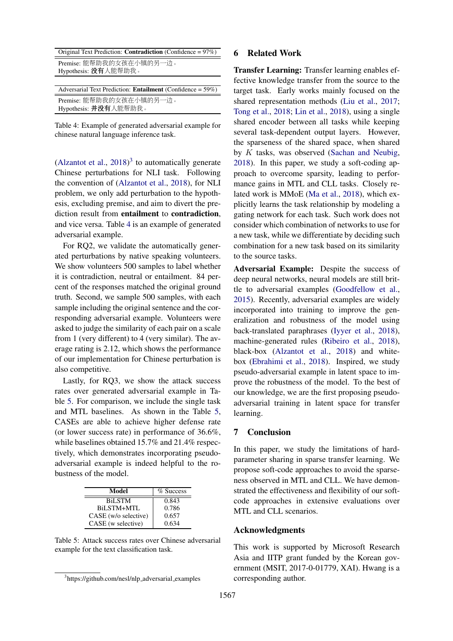<span id="page-7-1"></span>

| Original Text Prediction: <b>Contradiction</b> (Confidence = $97\%$ ) |
|-----------------------------------------------------------------------|
| Premise: 能帮助我的女孩在小镇的另一边。<br>Hypothesis: 没有人能帮助我。                      |
|                                                                       |
|                                                                       |
| Adversarial Text Prediction: <b>Entailment</b> (Confidence = $59\%$ ) |
| Premise: 能帮助我的女孩在小镇的另一边。<br>Hypothesis: 并没有人能帮助我。                     |

Table 4: Example of generated adversarial example for chinese natural language inference task.

[\(Alzantot et al.,](#page-8-23)  $2018$ )<sup>[3](#page-7-0)</sup> to automatically generate Chinese perturbations for NLI task. Following the convention of [\(Alzantot et al.,](#page-8-23) [2018\)](#page-8-23), for NLI problem, we only add perturbation to the hypothesis, excluding premise, and aim to divert the prediction result from entailment to contradiction, and vice versa. Table [4](#page-7-1) is an example of generated adversarial example.

For RQ2, we validate the automatically generated perturbations by native speaking volunteers. We show volunteers 500 samples to label whether it is contradiction, neutral or entailment. 84 percent of the responses matched the original ground truth. Second, we sample 500 samples, with each sample including the original sentence and the corresponding adversarial example. Volunteers were asked to judge the similarity of each pair on a scale from 1 (very different) to 4 (very similar). The average rating is 2.12, which shows the performance of our implementation for Chinese perturbation is also competitive.

Lastly, for RQ3, we show the attack success rates over generated adversarial example in Table [5.](#page-7-2) For comparison, we include the single task and MTL baselines. As shown in the Table [5,](#page-7-2) CASEs are able to achieve higher defense rate (or lower success rate) in performance of 36.6%, while baselines obtained 15.7% and 21.4% respectively, which demonstrates incorporating pseudoadversarial example is indeed helpful to the robustness of the model.

<span id="page-7-2"></span>

| Model                | % Success |
|----------------------|-----------|
| <b>BiLSTM</b>        | 0.843     |
| BiLSTM+MTL           | 0.786     |
| CASE (w/o selective) | 0.657     |
| CASE (w selective)   | 0.634     |

Table 5: Attack success rates over Chinese adversarial example for the text classification task.

# 1567

#### 6 Related Work

Transfer Learning: Transfer learning enables effective knowledge transfer from the source to the target task. Early works mainly focused on the shared representation methods [\(Liu et al.,](#page-8-1) [2017;](#page-8-1) [Tong et al.,](#page-8-25) [2018;](#page-8-25) [Lin et al.,](#page-8-2) [2018\)](#page-8-2), using a single shared encoder between all tasks while keeping several task-dependent output layers. However, the sparseness of the shared space, when shared by K tasks, was observed [\(Sachan and Neubig,](#page-8-0) [2018\)](#page-8-0). In this paper, we study a soft-coding approach to overcome sparsity, leading to performance gains in MTL and CLL tasks. Closely related work is MMoE [\(Ma et al.,](#page-8-19) [2018\)](#page-8-19), which explicitly learns the task relationship by modeling a gating network for each task. Such work does not consider which combination of networks to use for a new task, while we differentiate by deciding such combination for a new task based on its similarity to the source tasks.

Adversarial Example: Despite the success of deep neural networks, neural models are still brittle to adversarial examples [\(Goodfellow et al.,](#page-8-12) [2015\)](#page-8-12). Recently, adversarial examples are widely incorporated into training to improve the generalization and robustness of the model using back-translated paraphrases [\(Iyyer et al.,](#page-8-26) [2018\)](#page-8-26), machine-generated rules [\(Ribeiro et al.,](#page-8-27) [2018\)](#page-8-27), black-box [\(Alzantot et al.,](#page-8-23) [2018\)](#page-8-23) and whitebox [\(Ebrahimi et al.,](#page-8-28) [2018\)](#page-8-28). Inspired, we study pseudo-adversarial example in latent space to improve the robustness of the model. To the best of our knowledge, we are the first proposing pseudoadversarial training in latent space for transfer learning.

## 7 Conclusion

In this paper, we study the limitations of hardparameter sharing in sparse transfer learning. We propose soft-code approaches to avoid the sparseness observed in MTL and CLL. We have demonstrated the effectiveness and flexibility of our softcode approaches in extensive evaluations over MTL and CLL scenarios.

#### Acknowledgments

This work is supported by Microsoft Research Asia and IITP grant funded by the Korean government (MSIT, 2017-0-01779, XAI). Hwang is a corresponding author.

<span id="page-7-0"></span><sup>&</sup>lt;sup>3</sup>https://github.com/nesl/nlp\_adversarial\_examples